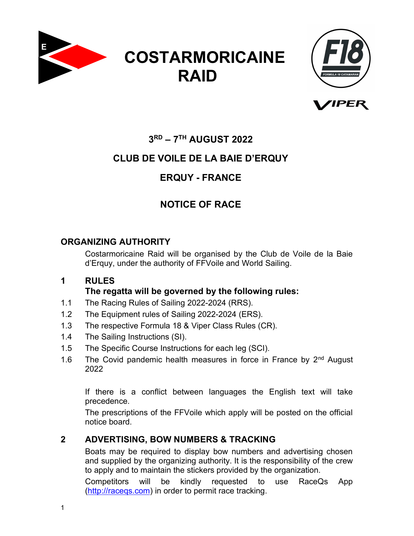





# 3 RD – 7TH AUGUST 2022

# CLUB DE VOILE DE LA BAIE D'ERQUY

# ERQUY - FRANCE

# NOTICE OF RACE

# ORGANIZING AUTHORITY

Costarmoricaine Raid will be organised by the Club de Voile de la Baie d'Erquy, under the authority of FFVoile and World Sailing.

### 1 RULES The regatta will be governed by the following rules:

- 1.1 The Racing Rules of Sailing 2022-2024 (RRS).
- 1.2 The Equipment rules of Sailing 2022-2024 (ERS).
- 1.3 The respective Formula 18 & Viper Class Rules (CR).
- 1.4 The Sailing Instructions (SI).
- 1.5 The Specific Course Instructions for each leg (SCI).
- 1.6 The Covid pandemic health measures in force in France by  $2<sup>nd</sup>$  August 2022

If there is a conflict between languages the English text will take precedence.

The prescriptions of the FFVoile which apply will be posted on the official notice board.

# 2 ADVERTISING, BOW NUMBERS & TRACKING

Boats may be required to display bow numbers and advertising chosen and supplied by the organizing authority. It is the responsibility of the crew to apply and to maintain the stickers provided by the organization.

Competitors will be kindly requested to use RaceQs App (http://raceqs.com) in order to permit race tracking.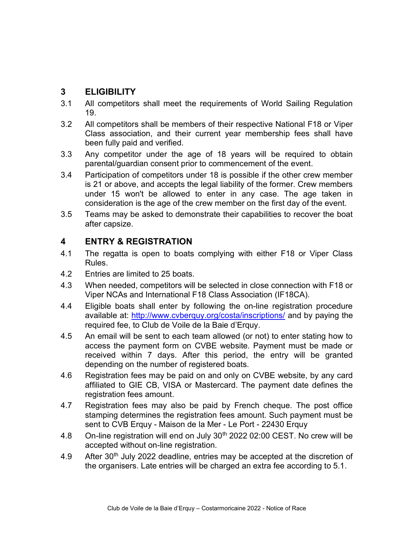#### 3 ELIGIBILITY

- 3.1 All competitors shall meet the requirements of World Sailing Regulation 19.
- 3.2 All competitors shall be members of their respective National F18 or Viper Class association, and their current year membership fees shall have been fully paid and verified.
- 3.3 Any competitor under the age of 18 years will be required to obtain parental/guardian consent prior to commencement of the event.
- 3.4 Participation of competitors under 18 is possible if the other crew member is 21 or above, and accepts the legal liability of the former. Crew members under 15 won't be allowed to enter in any case. The age taken in consideration is the age of the crew member on the first day of the event.
- 3.5 Teams may be asked to demonstrate their capabilities to recover the boat after capsize.

### 4 ENTRY & REGISTRATION

- 4.1 The regatta is open to boats complying with either F18 or Viper Class Rules.
- 4.2 Entries are limited to 25 boats.
- 4.3 When needed, competitors will be selected in close connection with F18 or Viper NCAs and International F18 Class Association (IF18CA).
- 4.4 Eligible boats shall enter by following the on-line registration procedure available at: http://www.cvberquy.org/costa/inscriptions/ and by paying the required fee, to Club de Voile de la Baie d'Erquy.
- 4.5 An email will be sent to each team allowed (or not) to enter stating how to access the payment form on CVBE website. Payment must be made or received within 7 days. After this period, the entry will be granted depending on the number of registered boats.
- 4.6 Registration fees may be paid on and only on CVBE website, by any card affiliated to GIE CB, VISA or Mastercard. The payment date defines the registration fees amount.
- 4.7 Registration fees may also be paid by French cheque. The post office stamping determines the registration fees amount. Such payment must be sent to CVB Erquy - Maison de la Mer - Le Port - 22430 Erquy
- 4.8 On-line registration will end on July 30<sup>th</sup> 2022 02:00 CEST. No crew will be accepted without on-line registration.
- 4.9 After  $30<sup>th</sup>$  July 2022 deadline, entries may be accepted at the discretion of the organisers. Late entries will be charged an extra fee according to 5.1.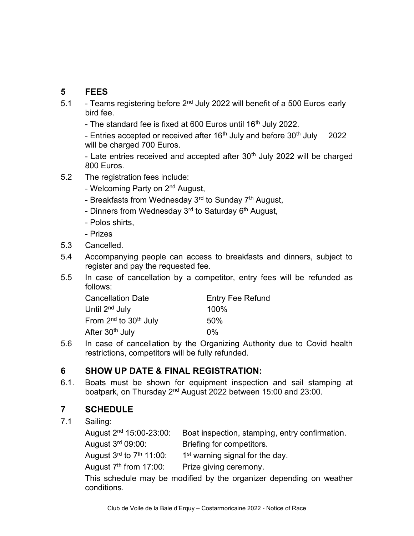# 5 FEES

- 5.1 Teams registering before 2<sup>nd</sup> July 2022 will benefit of a 500 Euros early bird fee.
	- The standard fee is fixed at 600 Euros until 16<sup>th</sup> July 2022.

- Entries accepted or received after  $16<sup>th</sup>$  July and before  $30<sup>th</sup>$  July 2022 will be charged 700 Euros.

- Late entries received and accepted after 30<sup>th</sup> July 2022 will be charged 800 Euros.

- 5.2 The registration fees include:
	- Welcoming Party on 2<sup>nd</sup> August,
	- Breakfasts from Wednesday 3<sup>rd</sup> to Sunday 7<sup>th</sup> August,
	- Dinners from Wednesday 3<sup>rd</sup> to Saturday 6<sup>th</sup> August,
	- Polos shirts,
	- Prizes
- 5.3 Cancelled.
- 5.4 Accompanying people can access to breakfasts and dinners, subject to register and pay the requested fee.
- 5.5 In case of cancellation by a competitor, entry fees will be refunded as follows:

| <b>Cancellation Date</b>                      | <b>Entry Fee Refund</b> |
|-----------------------------------------------|-------------------------|
| Until 2 <sup>nd</sup> July                    | 100%                    |
| From 2 <sup>nd</sup> to 30 <sup>th</sup> July | 50%                     |
| After 30 <sup>th</sup> July                   | $0\%$                   |

5.6 In case of cancellation by the Organizing Authority due to Covid health restrictions, competitors will be fully refunded.

### 6 SHOW UP DATE & FINAL REGISTRATION:

6.1. Boats must be shown for equipment inspection and sail stamping at boatpark, on Thursday 2nd August 2022 between 15:00 and 23:00.

# 7 SCHEDULE

#### 7.1 Sailing:

| August 2 <sup>nd</sup> 15:00-23:00:              | Boat inspection, stamping, entry confirmation.                                                                |
|--------------------------------------------------|---------------------------------------------------------------------------------------------------------------|
| August 3rd 09:00:                                | Briefing for competitors.                                                                                     |
| August $3^{\text{rd}}$ to $7^{\text{th}}$ 11:00: | 1 <sup>st</sup> warning signal for the day.                                                                   |
| August $7th$ from 17:00:                         | Prize giving ceremony.                                                                                        |
|                                                  | 市場 2010 - 1910 - 1910 - 1910 - 1910 - 1910 - 1910 - 1910 - 1910 - 1910 - 1910 - 1910 - 1910 - 1910 - 1910 - 1 |

This schedule may be modified by the organizer depending on weather conditions.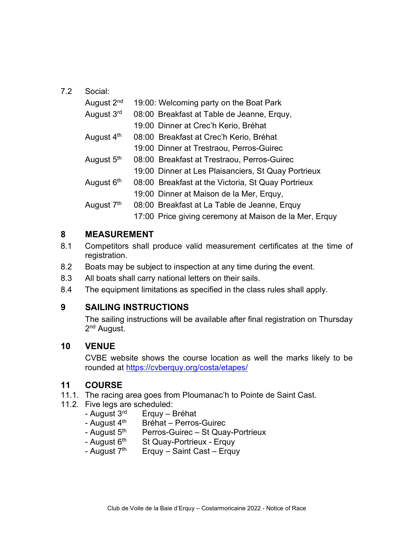#### 7.2 Social:

| August 2 <sup>nd</sup> | 19:00: Welcoming party on the Boat Park                |
|------------------------|--------------------------------------------------------|
| August 3rd             | 08:00 Breakfast at Table de Jeanne, Erquy,             |
|                        | 19:00 Dinner at Crec'h Kerio, Bréhat                   |
| August 4 <sup>th</sup> | 08:00 Breakfast at Crec'h Kerio, Bréhat                |
|                        | 19:00 Dinner at Trestraou, Perros-Guirec               |
| August 5 <sup>th</sup> | 08:00 Breakfast at Trestraou, Perros-Guirec            |
|                        | 19:00 Dinner at Les Plaisanciers, St Quay Portrieux    |
| August 6 <sup>th</sup> | 08:00 Breakfast at the Victoria, St Quay Portrieux     |
|                        | 19:00 Dinner at Maison de la Mer, Erquy,               |
| August 7 <sup>th</sup> | 08:00 Breakfast at La Table de Jeanne, Erquy           |
|                        | 17:00 Price giving ceremony at Maison de la Mer, Erquy |

#### 8 MEASUREMENT

- 8.1 Competitors shall produce valid measurement certificates at the time of registration.
- 8.2 Boats may be subject to inspection at any time during the event.
- 8.3 All boats shall carry national letters on their sails.
- 8.4 The equipment limitations as specified in the class rules shall apply.

### 9 SAILING INSTRUCTIONS

The sailing instructions will be available after final registration on Thursday 2<sup>nd</sup> August.

### 10 VENUE

CVBE website shows the course location as well the marks likely to be rounded at https://cvberquy.org/costa/etapes/

### 11 COURSE

- 11.1. The racing area goes from Ploumanac'h to Pointe de Saint Cast.
- 11.2. Five legs are scheduled:
	- August  $3<sup>rd</sup>$  Erquy Bréhat
	-
	- August 4<sup>th</sup> Bréhat Perros-Guirec<br>- August 5<sup>th</sup> Perros-Guirec St Qua Perros-Guirec – St Quay-Portrieux
	- August  $6<sup>th</sup>$  St Quay-Portrieux Erquy
	- August  $7<sup>th</sup>$  Erquy Saint Cast Erquy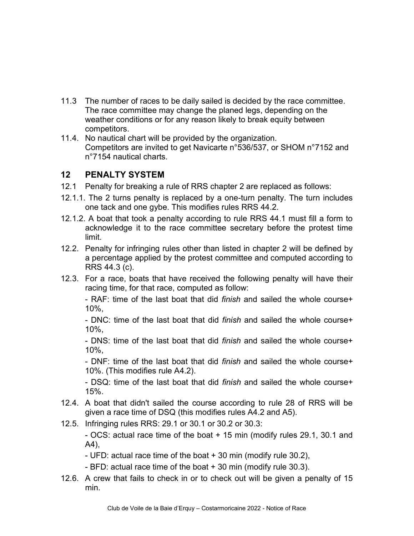- 11.3 The number of races to be daily sailed is decided by the race committee. The race committee may change the planed legs, depending on the weather conditions or for any reason likely to break equity between competitors.
- 11.4. No nautical chart will be provided by the organization. Competitors are invited to get Navicarte n°536/537, or SHOM n°7152 and n°7154 nautical charts.

## 12 PENALTY SYSTEM

- 12.1 Penalty for breaking a rule of RRS chapter 2 are replaced as follows:
- 12.1.1. The 2 turns penalty is replaced by a one-turn penalty. The turn includes one tack and one gybe. This modifies rules RRS 44.2.
- 12.1.2. A boat that took a penalty according to rule RRS 44.1 must fill a form to acknowledge it to the race committee secretary before the protest time limit.
- 12.2. Penalty for infringing rules other than listed in chapter 2 will be defined by a percentage applied by the protest committee and computed according to RRS 44.3 (c).
- 12.3. For a race, boats that have received the following penalty will have their racing time, for that race, computed as follow:

- RAF: time of the last boat that did finish and sailed the whole course+ 10%,

- DNC: time of the last boat that did finish and sailed the whole course+ 10%,

- DNS: time of the last boat that did finish and sailed the whole course+ 10%,

- DNF: time of the last boat that did finish and sailed the whole course+ 10%. (This modifies rule A4.2).

- DSQ: time of the last boat that did finish and sailed the whole course+ 15%.

- 12.4. A boat that didn't sailed the course according to rule 28 of RRS will be given a race time of DSQ (this modifies rules A4.2 and A5).
- 12.5. Infringing rules RRS: 29.1 or 30.1 or 30.2 or 30.3:

- OCS: actual race time of the boat + 15 min (modify rules 29.1, 30.1 and A4),

- UFD: actual race time of the boat + 30 min (modify rule 30.2),

- BFD: actual race time of the boat + 30 min (modify rule 30.3).

12.6. A crew that fails to check in or to check out will be given a penalty of 15 min.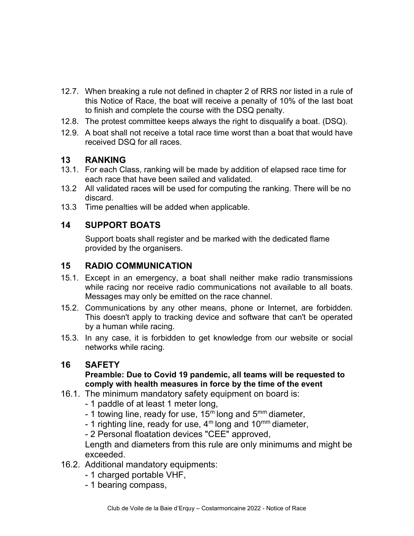- 12.7. When breaking a rule not defined in chapter 2 of RRS nor listed in a rule of this Notice of Race, the boat will receive a penalty of 10% of the last boat to finish and complete the course with the DSQ penalty.
- 12.8. The protest committee keeps always the right to disqualify a boat. (DSQ).
- 12.9. A boat shall not receive a total race time worst than a boat that would have received DSQ for all races.

#### 13 RANKING

- 13.1. For each Class, ranking will be made by addition of elapsed race time for each race that have been sailed and validated.
- 13.2 All validated races will be used for computing the ranking. There will be no discard.
- 13.3 Time penalties will be added when applicable.

## 14 SUPPORT BOATS

 Support boats shall register and be marked with the dedicated flame provided by the organisers.

#### 15 RADIO COMMUNICATION

- 15.1. Except in an emergency, a boat shall neither make radio transmissions while racing nor receive radio communications not available to all boats. Messages may only be emitted on the race channel.
- 15.2. Communications by any other means, phone or Internet, are forbidden. This doesn't apply to tracking device and software that can't be operated by a human while racing.
- 15.3. In any case, it is forbidden to get knowledge from our website or social networks while racing.

### 16 SAFETY

#### Preamble: Due to Covid 19 pandemic, all teams will be requested to comply with health measures in force by the time of the event

- 16.1. The minimum mandatory safety equipment on board is:
	- 1 paddle of at least 1 meter long,
	- 1 towing line, ready for use,  $15<sup>m</sup>$  long and  $5<sup>mm</sup>$  diameter,
	- 1 righting line, ready for use,  $4^m$  long and  $10^{mm}$  diameter,

- 2 Personal floatation devices "CEE" approved,

Length and diameters from this rule are only minimums and might be exceeded.

- 16.2. Additional mandatory equipments:
	- 1 charged portable VHF,
	- 1 bearing compass,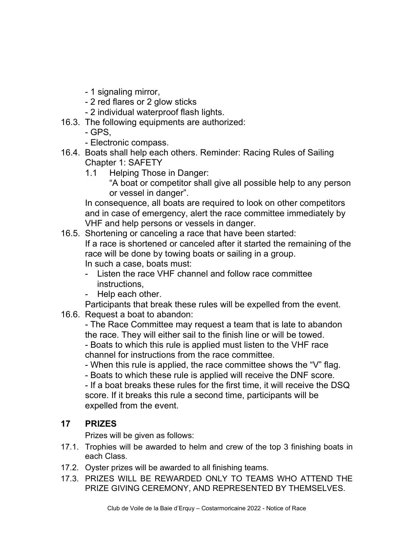- 1 signaling mirror,
- 2 red flares or 2 glow sticks
- 2 individual waterproof flash lights.
- 16.3. The following equipments are authorized:
	- GPS,
	- Electronic compass.
- 16.4. Boats shall help each others. Reminder: Racing Rules of Sailing Chapter 1: SAFETY
	- 1.1 Helping Those in Danger:
		- "A boat or competitor shall give all possible help to any person or vessel in danger".

In consequence, all boats are required to look on other competitors and in case of emergency, alert the race committee immediately by VHF and help persons or vessels in danger.

16.5. Shortening or canceling a race that have been started:

If a race is shortened or canceled after it started the remaining of the race will be done by towing boats or sailing in a group. In such a case, boats must:

- Listen the race VHF channel and follow race committee instructions,
- Help each other.

Participants that break these rules will be expelled from the event.

16.6. Request a boat to abandon:

- The Race Committee may request a team that is late to abandon the race. They will either sail to the finish line or will be towed. - Boats to which this rule is applied must listen to the VHF race

channel for instructions from the race committee.

- When this rule is applied, the race committee shows the "V" flag.

- Boats to which these rule is applied will receive the DNF score.

- If a boat breaks these rules for the first time, it will receive the DSQ score. If it breaks this rule a second time, participants will be expelled from the event.

# 17 PRIZES

Prizes will be given as follows:

- 17.1. Trophies will be awarded to helm and crew of the top 3 finishing boats in each Class.
- 17.2. Oyster prizes will be awarded to all finishing teams.
- 17.3. PRIZES WILL BE REWARDED ONLY TO TEAMS WHO ATTEND THE PRIZE GIVING CEREMONY, AND REPRESENTED BY THEMSELVES.